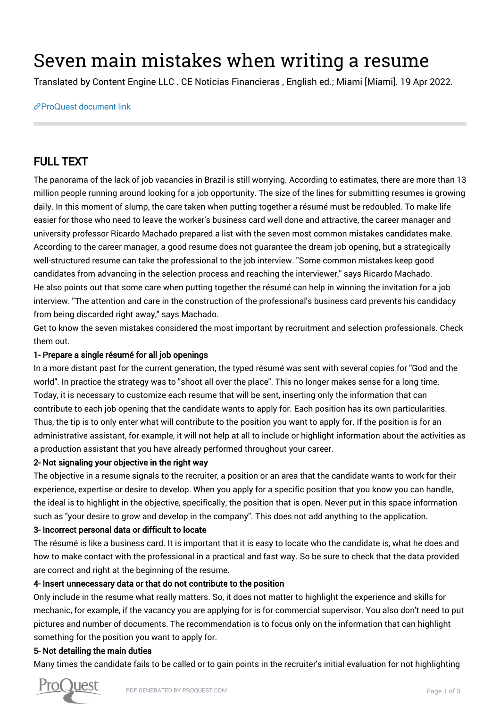# Seven main mistakes when writing a resume

Translated by Content Engine LLC . CE Noticias Financieras , English ed.; Miami [Miami]. 19 Apr 2022.

[ProQuest document link](https://www.proquest.com/wire-feeds/seven-main-mistakes-when-writing-resume/docview/2652822101/se-2?accountid=44910)

## FULL TEXT

The panorama of the lack of job vacancies in Brazil is still worrying. According to estimates, there are more than 13 million people running around looking for a job opportunity. The size of the lines for submitting resumes is growing daily. In this moment of slump, the care taken when putting together a résumé must be redoubled. To make life easier for those who need to leave the worker's business card well done and attractive, the career manager and university professor Ricardo Machado prepared a list with the seven most common mistakes candidates make. According to the career manager, a good resume does not guarantee the dream job opening, but a strategically well-structured resume can take the professional to the job interview. "Some common mistakes keep good candidates from advancing in the selection process and reaching the interviewer," says Ricardo Machado. He also points out that some care when putting together the résumé can help in winning the invitation for a job interview. "The attention and care in the construction of the professional's business card prevents his candidacy from being discarded right away," says Machado.

Get to know the seven mistakes considered the most important by recruitment and selection professionals. Check them out.

#### 1- Prepare a single résumé for all job openings

In a more distant past for the current generation, the typed résumé was sent with several copies for "God and the world". In practice the strategy was to "shoot all over the place". This no longer makes sense for a long time. Today, it is necessary to customize each resume that will be sent, inserting only the information that can contribute to each job opening that the candidate wants to apply for. Each position has its own particularities. Thus, the tip is to only enter what will contribute to the position you want to apply for. If the position is for an administrative assistant, for example, it will not help at all to include or highlight information about the activities as a production assistant that you have already performed throughout your career.

#### 2- Not signaling your objective in the right way

The objective in a resume signals to the recruiter, a position or an area that the candidate wants to work for their experience, expertise or desire to develop. When you apply for a specific position that you know you can handle, the ideal is to highlight in the objective, specifically, the position that is open. Never put in this space information such as "your desire to grow and develop in the company". This does not add anything to the application.

#### 3- Incorrect personal data or difficult to locate

The résumé is like a business card. It is important that it is easy to locate who the candidate is, what he does and how to make contact with the professional in a practical and fast way. So be sure to check that the data provided are correct and right at the beginning of the resume.

#### 4- Insert unnecessary data or that do not contribute to the position

Only include in the resume what really matters. So, it does not matter to highlight the experience and skills for mechanic, for example, if the vacancy you are applying for is for commercial supervisor. You also don't need to put pictures and number of documents. The recommendation is to focus only on the information that can highlight something for the position you want to apply for.

#### 5- Not detailing the main duties

Many times the candidate fails to be called or to gain points in the recruiter's initial evaluation for not highlighting

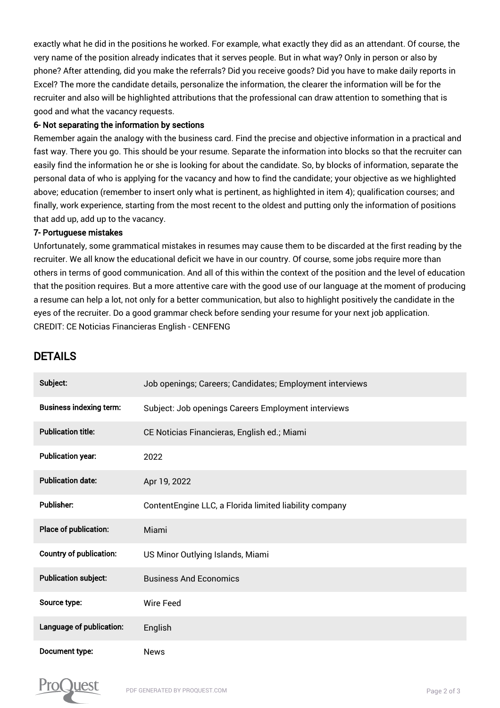exactly what he did in the positions he worked. For example, what exactly they did as an attendant. Of course, the very name of the position already indicates that it serves people. But in what way? Only in person or also by phone? After attending, did you make the referrals? Did you receive goods? Did you have to make daily reports in Excel? The more the candidate details, personalize the information, the clearer the information will be for the recruiter and also will be highlighted attributions that the professional can draw attention to something that is good and what the vacancy requests.

#### 6- Not separating the information by sections

Remember again the analogy with the business card. Find the precise and objective information in a practical and fast way. There you go. This should be your resume. Separate the information into blocks so that the recruiter can easily find the information he or she is looking for about the candidate. So, by blocks of information, separate the personal data of who is applying for the vacancy and how to find the candidate; your objective as we highlighted above; education (remember to insert only what is pertinent, as highlighted in item 4); qualification courses; and finally, work experience, starting from the most recent to the oldest and putting only the information of positions that add up, add up to the vacancy.

#### 7- Portuguese mistakes

Unfortunately, some grammatical mistakes in resumes may cause them to be discarded at the first reading by the recruiter. We all know the educational deficit we have in our country. Of course, some jobs require more than others in terms of good communication. And all of this within the context of the position and the level of education that the position requires. But a more attentive care with the good use of our language at the moment of producing a resume can help a lot, not only for a better communication, but also to highlight positively the candidate in the eyes of the recruiter. Do a good grammar check before sending your resume for your next job application. CREDIT: CE Noticias Financieras English - CENFENG

### DETAILS

| Subject:                       | Job openings; Careers; Candidates; Employment interviews |
|--------------------------------|----------------------------------------------------------|
| <b>Business indexing term:</b> | Subject: Job openings Careers Employment interviews      |
| <b>Publication title:</b>      | CE Noticias Financieras, English ed.; Miami              |
| <b>Publication year:</b>       | 2022                                                     |
| <b>Publication date:</b>       | Apr 19, 2022                                             |
| <b>Publisher:</b>              | ContentEngine LLC, a Florida limited liability company   |
| Place of publication:          | Miami                                                    |
|                                |                                                          |
| <b>Country of publication:</b> | US Minor Outlying Islands, Miami                         |
| <b>Publication subject:</b>    | <b>Business And Economics</b>                            |
| Source type:                   | <b>Wire Feed</b>                                         |
| Language of publication:       | English                                                  |